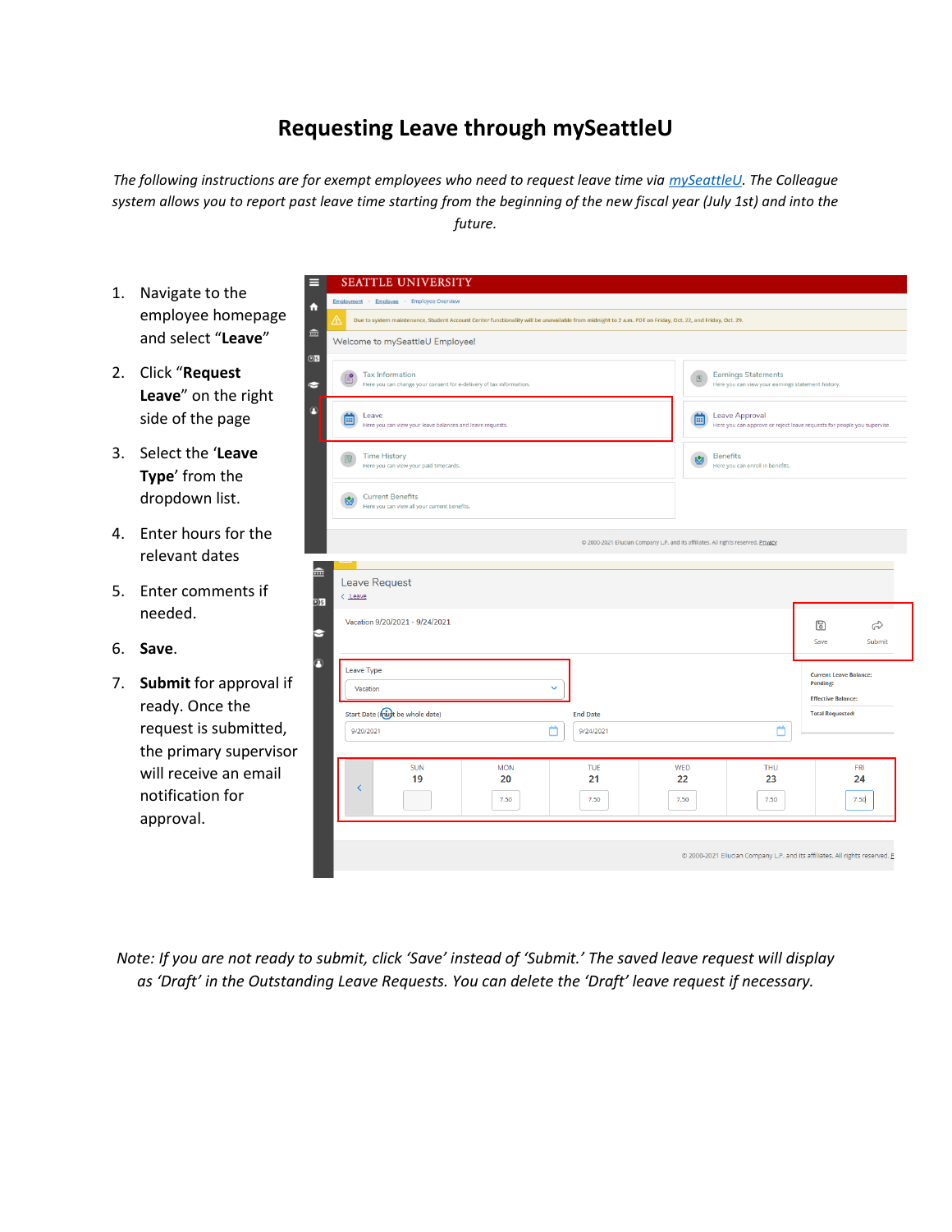## **Requesting Leave through mySeattleU**

*The following instructions are for exempt employees who need to request leave time via mySeattleU. The Colleague system allows you to report past leave time starting from the beginning of the new fiscal year (July 1st) and into the future.*

- 1. Navigate to the employee homepag and select "**Leave**"
- 2. Click "**Request Leave**" on the right side of the page
- 3. Select the '**Leave Type**' from the dropdown list.
- 4. Enter hours for the relevant dates
- 5. Enter comments if needed.
- 6. **Save**.
- 7. **Submit** for approval ready. Once the request is submitted the primary supervis will receive an emai notification for approval.

| ⚠<br>血         | Welcome to mySeattleU Employee!                                                                                                                                                                                                  |                                                                         |
|----------------|----------------------------------------------------------------------------------------------------------------------------------------------------------------------------------------------------------------------------------|-------------------------------------------------------------------------|
| O <sub>S</sub> |                                                                                                                                                                                                                                  |                                                                         |
| N              | <b>Tax Information</b><br><b>Earnings Statements</b><br>Få<br>$\left[\underline{\textbf{S}}\right]$<br>Here you can change your consent for e-delivery of tax information.<br>Here you can view your earnings statement history. |                                                                         |
| 8              | Leave Approval<br>Leave<br>⊞<br><b>EEE</b><br>Here you can view your leave balances and leave requests.                                                                                                                          | Here you can approve or reject leave requests for people you supervise. |
|                | <b>Time History</b><br><b>Benefits</b><br>62<br>Here you can view your paid timecards.<br>Here you can enroll in benefits.                                                                                                       |                                                                         |
|                | <b>Current Benefits</b><br>K.<br>Here you can view all your current benefits.                                                                                                                                                    |                                                                         |
|                |                                                                                                                                                                                                                                  |                                                                         |
|                | @ 2000-2021 Ellucian Company L.P. and its affiliates. All rights reserved. Privacy                                                                                                                                               |                                                                         |
|                |                                                                                                                                                                                                                                  |                                                                         |
| $\widehat{m}$  | Leave Request                                                                                                                                                                                                                    |                                                                         |
| D)\$           | $<$ Leave                                                                                                                                                                                                                        |                                                                         |
| Э              | Vacation 9/20/2021 - 9/24/2021                                                                                                                                                                                                   | $\mathbb{F}$                                                            |
|                |                                                                                                                                                                                                                                  | Save                                                                    |
| $\Omega$       | Leave Type                                                                                                                                                                                                                       | <b>Current Leave Balance:</b><br>Pending:                               |
|                | $\checkmark$<br>Vacation                                                                                                                                                                                                         | <b>Effective Balance:</b>                                               |
|                | Start Date (must be whole date)<br><b>End Date</b>                                                                                                                                                                               | ಧಿ<br>Submit<br><b>Total Requested:</b>                                 |
|                | m<br>m<br>9/20/2021<br>9/24/2021                                                                                                                                                                                                 |                                                                         |
|                | <b>SUN</b><br><b>MON</b><br>TUE<br>WED<br>THU                                                                                                                                                                                    | FRI                                                                     |

*Note: If you are not ready to submit, click 'Save' instead of 'Submit.' The saved leave request will display as 'Draft' in the Outstanding Leave Requests. You can delete the 'Draft' leave request if necessary.*